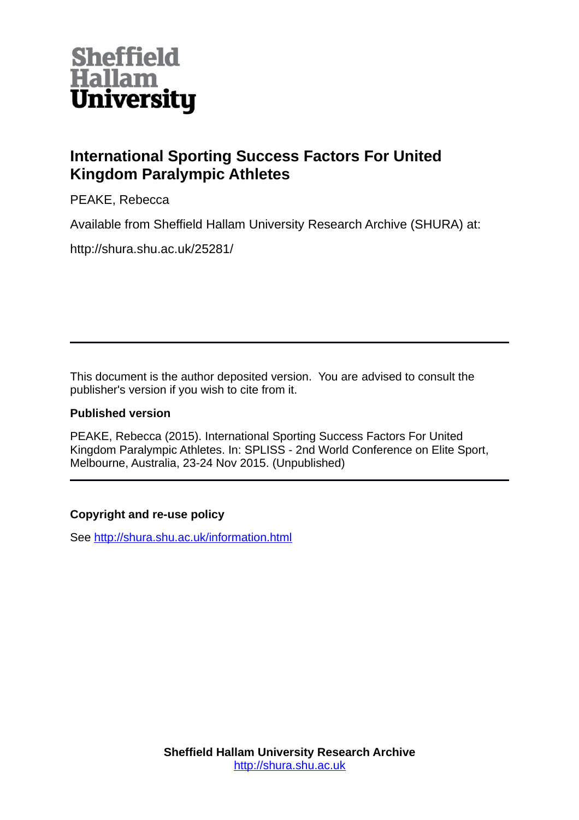

# **International Sporting Success Factors For United Kingdom Paralympic Athletes**

PEAKE, Rebecca

Available from Sheffield Hallam University Research Archive (SHURA) at:

http://shura.shu.ac.uk/25281/

This document is the author deposited version. You are advised to consult the publisher's version if you wish to cite from it.

## **Published version**

PEAKE, Rebecca (2015). International Sporting Success Factors For United Kingdom Paralympic Athletes. In: SPLISS - 2nd World Conference on Elite Sport, Melbourne, Australia, 23-24 Nov 2015. (Unpublished)

## **Copyright and re-use policy**

See<http://shura.shu.ac.uk/information.html>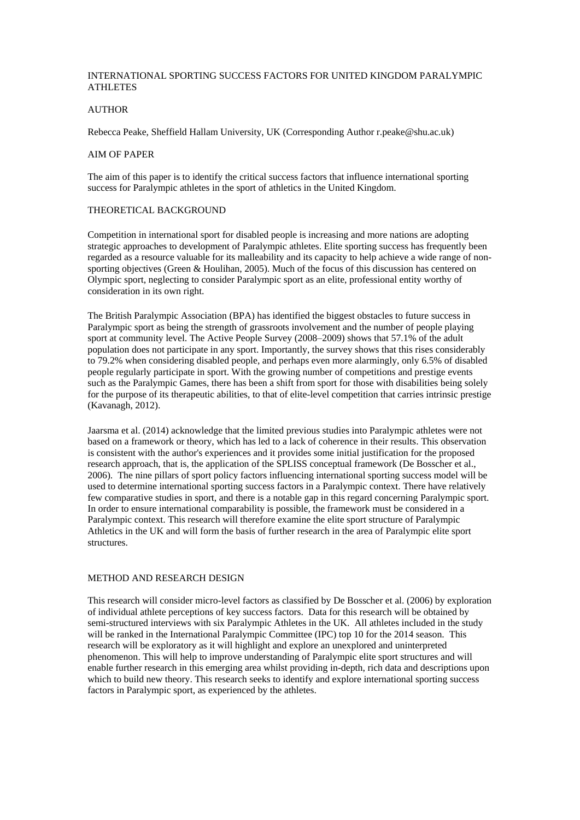### INTERNATIONAL SPORTING SUCCESS FACTORS FOR UNITED KINGDOM PARALYMPIC ATHLETES

#### **AUTHOR**

Rebecca Peake, Sheffield Hallam University, UK (Corresponding Author r.peake@shu.ac.uk)

#### AIM OF PAPER

The aim of this paper is to identify the critical success factors that influence international sporting success for Paralympic athletes in the sport of athletics in the United Kingdom.

#### THEORETICAL BACKGROUND

Competition in international sport for disabled people is increasing and more nations are adopting strategic approaches to development of Paralympic athletes. Elite sporting success has frequently been regarded as a resource valuable for its malleability and its capacity to help achieve a wide range of nonsporting objectives (Green & Houlihan, 2005). Much of the focus of this discussion has centered on Olympic sport, neglecting to consider Paralympic sport as an elite, professional entity worthy of consideration in its own right.

The British Paralympic Association (BPA) has identified the biggest obstacles to future success in Paralympic sport as being the strength of grassroots involvement and the number of people playing sport at community level. The Active People Survey (2008–2009) shows that 57.1% of the adult population does not participate in any sport. Importantly, the survey shows that this rises considerably to 79.2% when considering disabled people, and perhaps even more alarmingly, only 6.5% of disabled people regularly participate in sport. With the growing number of competitions and prestige events such as the Paralympic Games, there has been a shift from sport for those with disabilities being solely for the purpose of its therapeutic abilities, to that of elite-level competition that carries intrinsic prestige (Kavanagh, 2012).

Jaarsma et al. (2014) acknowledge that the limited previous studies into Paralympic athletes were not based on a framework or theory, which has led to a lack of coherence in their results. This observation is consistent with the author's experiences and it provides some initial justification for the proposed research approach, that is, the application of the SPLISS conceptual framework (De Bosscher et al., 2006). The nine pillars of sport policy factors influencing international sporting success model will be used to determine international sporting success factors in a Paralympic context. There have relatively few comparative studies in sport, and there is a notable gap in this regard concerning Paralympic sport. In order to ensure international comparability is possible, the framework must be considered in a Paralympic context. This research will therefore examine the elite sport structure of Paralympic Athletics in the UK and will form the basis of further research in the area of Paralympic elite sport structures.

#### METHOD AND RESEARCH DESIGN

This research will consider micro-level factors as classified by De Bosscher et al. (2006) by exploration of individual athlete perceptions of key success factors. Data for this research will be obtained by semi-structured interviews with six Paralympic Athletes in the UK. All athletes included in the study will be ranked in the International Paralympic Committee (IPC) top 10 for the 2014 season. This research will be exploratory as it will highlight and explore an unexplored and uninterpreted phenomenon. This will help to improve understanding of Paralympic elite sport structures and will enable further research in this emerging area whilst providing in-depth, rich data and descriptions upon which to build new theory. This research seeks to identify and explore international sporting success factors in Paralympic sport, as experienced by the athletes.